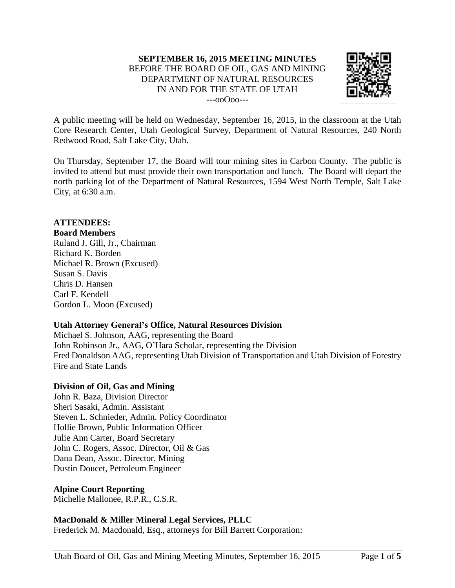

A public meeting will be held on Wednesday, September 16, 2015, in the classroom at the Utah Core Research Center, Utah Geological Survey, Department of Natural Resources, 240 North Redwood Road, Salt Lake City, Utah.

On Thursday, September 17, the Board will tour mining sites in Carbon County. The public is invited to attend but must provide their own transportation and lunch. The Board will depart the north parking lot of the Department of Natural Resources, 1594 West North Temple, Salt Lake City, at 6:30 a.m.

# **ATTENDEES:**

#### **Board Members**

Ruland J. Gill, Jr., Chairman Richard K. Borden Michael R. Brown (Excused) Susan S. Davis Chris D. Hansen Carl F. Kendell Gordon L. Moon (Excused)

# **Utah Attorney General's Office, Natural Resources Division**

Michael S. Johnson, AAG, representing the Board John Robinson Jr., AAG, O'Hara Scholar, representing the Division Fred Donaldson AAG, representing Utah Division of Transportation and Utah Division of Forestry Fire and State Lands

# **Division of Oil, Gas and Mining**

John R. Baza, Division Director Sheri Sasaki, Admin. Assistant Steven L. Schnieder, Admin. Policy Coordinator Hollie Brown, Public Information Officer Julie Ann Carter, Board Secretary John C. Rogers, Assoc. Director, Oil & Gas Dana Dean, Assoc. Director, Mining Dustin Doucet, Petroleum Engineer

# **Alpine Court Reporting**

Michelle Mallonee, R.P.R., C.S.R.

# **MacDonald & Miller Mineral Legal Services, PLLC**

Frederick M. Macdonald, Esq., attorneys for Bill Barrett Corporation: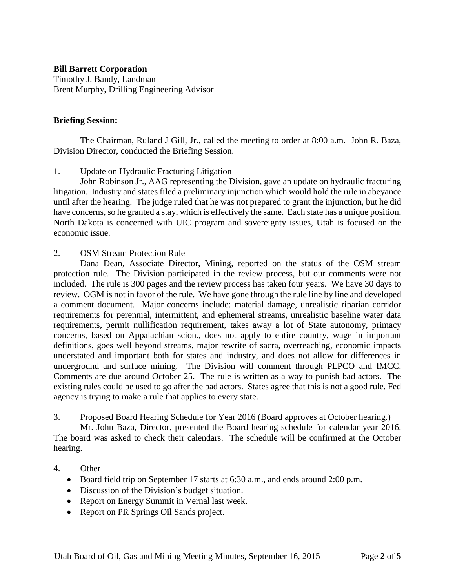### **Bill Barrett Corporation**

Timothy J. Bandy, Landman Brent Murphy, Drilling Engineering Advisor

### **Briefing Session:**

The Chairman, Ruland J Gill, Jr., called the meeting to order at 8:00 a.m. John R. Baza, Division Director, conducted the Briefing Session.

### 1. Update on Hydraulic Fracturing Litigation

John Robinson Jr., AAG representing the Division, gave an update on hydraulic fracturing litigation. Industry and states filed a preliminary injunction which would hold the rule in abeyance until after the hearing. The judge ruled that he was not prepared to grant the injunction, but he did have concerns, so he granted a stay, which is effectively the same. Each state has a unique position, North Dakota is concerned with UIC program and sovereignty issues, Utah is focused on the economic issue.

### 2. OSM Stream Protection Rule

Dana Dean, Associate Director, Mining, reported on the status of the OSM stream protection rule. The Division participated in the review process, but our comments were not included. The rule is 300 pages and the review process has taken four years. We have 30 days to review. OGM is not in favor of the rule. We have gone through the rule line by line and developed a comment document. Major concerns include: material damage, unrealistic riparian corridor requirements for perennial, intermittent, and ephemeral streams, unrealistic baseline water data requirements, permit nullification requirement, takes away a lot of State autonomy, primacy concerns, based on Appalachian scion., does not apply to entire country, wage in important definitions, goes well beyond streams, major rewrite of sacra, overreaching, economic impacts understated and important both for states and industry, and does not allow for differences in underground and surface mining. The Division will comment through PLPCO and IMCC. Comments are due around October 25. The rule is written as a way to punish bad actors. The existing rules could be used to go after the bad actors. States agree that this is not a good rule. Fed agency is trying to make a rule that applies to every state.

#### 3. Proposed Board Hearing Schedule for Year 2016 (Board approves at October hearing.)

Mr. John Baza, Director, presented the Board hearing schedule for calendar year 2016. The board was asked to check their calendars. The schedule will be confirmed at the October hearing.

# 4. Other

- Board field trip on September 17 starts at 6:30 a.m., and ends around 2:00 p.m.
- Discussion of the Division's budget situation.
- Report on Energy Summit in Vernal last week.
- Report on PR Springs Oil Sands project.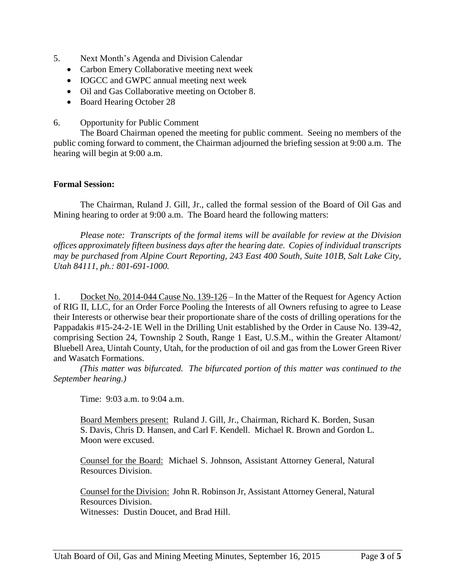- 5. Next Month's Agenda and Division Calendar
	- Carbon Emery Collaborative meeting next week
	- IOGCC and GWPC annual meeting next week
	- Oil and Gas Collaborative meeting on October 8.
	- Board Hearing October 28
- 6. Opportunity for Public Comment

The Board Chairman opened the meeting for public comment. Seeing no members of the public coming forward to comment, the Chairman adjourned the briefing session at 9:00 a.m. The hearing will begin at 9:00 a.m.

#### **Formal Session:**

The Chairman, Ruland J. Gill, Jr., called the formal session of the Board of Oil Gas and Mining hearing to order at 9:00 a.m. The Board heard the following matters:

*Please note: Transcripts of the formal items will be available for review at the Division offices approximately fifteen business days after the hearing date. Copies of individual transcripts may be purchased from Alpine Court Reporting, 243 East 400 South, Suite 101B, Salt Lake City, Utah 84111, ph.: 801-691-1000.*

1. Docket No. 2014-044 Cause No. 139-126 – In the Matter of the Request for Agency Action of RIG II, LLC, for an Order Force Pooling the Interests of all Owners refusing to agree to Lease their Interests or otherwise bear their proportionate share of the costs of drilling operations for the Pappadakis #15-24-2-1E Well in the Drilling Unit established by the Order in Cause No. 139-42, comprising Section 24, Township 2 South, Range 1 East, U.S.M., within the Greater Altamont/ Bluebell Area, Uintah County, Utah, for the production of oil and gas from the Lower Green River and Wasatch Formations.

*(This matter was bifurcated. The bifurcated portion of this matter was continued to the September hearing.)*

Time: 9:03 a.m. to 9:04 a.m.

Board Members present: Ruland J. Gill, Jr., Chairman, Richard K. Borden, Susan S. Davis, Chris D. Hansen, and Carl F. Kendell. Michael R. Brown and Gordon L. Moon were excused.

Counsel for the Board: Michael S. Johnson, Assistant Attorney General, Natural Resources Division.

Counsel for the Division: John R. Robinson Jr, Assistant Attorney General, Natural Resources Division. Witnesses: Dustin Doucet, and Brad Hill.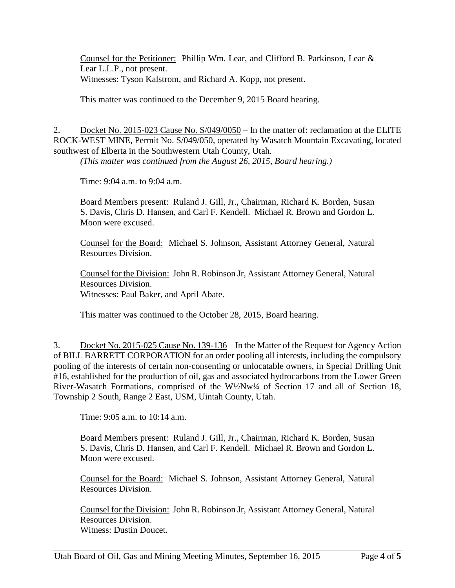Counsel for the Petitioner: Phillip Wm. Lear, and Clifford B. Parkinson, Lear & Lear L.L.P., not present. Witnesses: Tyson Kalstrom, and Richard A. Kopp, not present.

This matter was continued to the December 9, 2015 Board hearing.

2. Docket No. 2015-023 Cause No. S/049/0050 – In the matter of: reclamation at the ELITE ROCK-WEST MINE, Permit No. S/049/050, operated by Wasatch Mountain Excavating, located southwest of Elberta in the Southwestern Utah County, Utah.

*(This matter was continued from the August 26, 2015, Board hearing.)*

Time: 9:04 a.m. to 9:04 a.m.

Board Members present: Ruland J. Gill, Jr., Chairman, Richard K. Borden, Susan S. Davis, Chris D. Hansen, and Carl F. Kendell. Michael R. Brown and Gordon L. Moon were excused.

Counsel for the Board: Michael S. Johnson, Assistant Attorney General, Natural Resources Division.

Counsel for the Division: John R. Robinson Jr, Assistant Attorney General, Natural Resources Division. Witnesses: Paul Baker, and April Abate.

This matter was continued to the October 28, 2015, Board hearing.

3. Docket No. 2015-025 Cause No. 139-136 – In the Matter of the Request for Agency Action of BILL BARRETT CORPORATION for an order pooling all interests, including the compulsory pooling of the interests of certain non-consenting or unlocatable owners, in Special Drilling Unit #16, established for the production of oil, gas and associated hydrocarbons from the Lower Green River-Wasatch Formations, comprised of the W½Nw¼ of Section 17 and all of Section 18, Township 2 South, Range 2 East, USM, Uintah County, Utah.

Time: 9:05 a.m. to 10:14 a.m.

Board Members present: Ruland J. Gill, Jr., Chairman, Richard K. Borden, Susan S. Davis, Chris D. Hansen, and Carl F. Kendell. Michael R. Brown and Gordon L. Moon were excused.

Counsel for the Board: Michael S. Johnson, Assistant Attorney General, Natural Resources Division.

Counsel for the Division: John R. Robinson Jr, Assistant Attorney General, Natural Resources Division. Witness: Dustin Doucet.